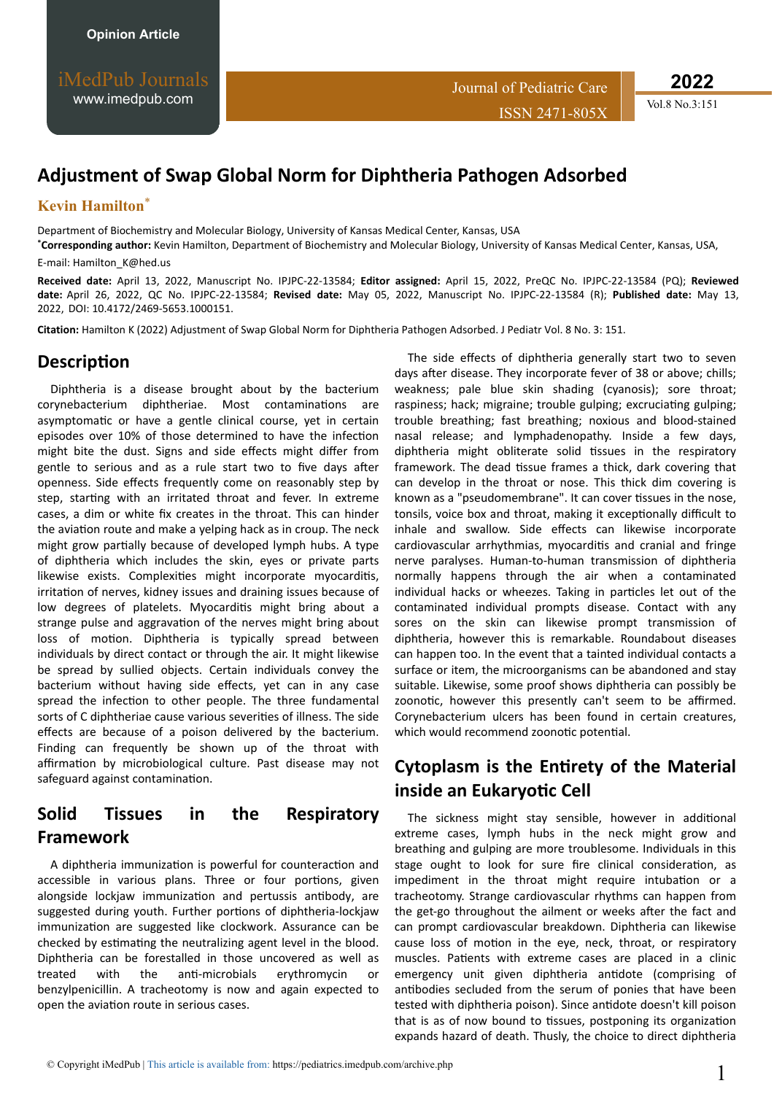**2022**

# **Adjustment of Swap Global Norm for Diphtheria Pathogen Adsorbed**

#### **Kevin Hamilton**\*

Department of Biochemistry and Molecular Biology, University of Kansas Medical Center, Kansas, USA

**\*Corresponding author:** Kevin Hamilton, Department of Biochemistry and Molecular Biology, University of Kansas Medical Center, Kansas, USA,

E-mail: [Hamilton\\_K@hed.us](mailto:Hamilton_K@hed.us)

**Received date:** April 13, 2022, Manuscript No. IPJPC-22-13584; **Editor assigned:** April 15, 2022, PreQC No. IPJPC-22-13584 (PQ); **Reviewed date:** April 26, 2022, QC No. IPJPC-22-13584; **Revised date:** May 05, 2022, Manuscript No. IPJPC-22-13584 (R); **Published date:** May 13, 2022, DOI: 10.4172/2469-5653.1000151.

Citation: Hamilton K (2022) Adjustment of Swap Global Norm for Diphtheria Pathogen Adsorbed. J Pediatr Vol. 8 No. 3: 151.

#### **Description**

Diphtheria is a disease brought about by the bacterium corynebacterium diphtheriae. Most contaminations are asymptomatic or have a gentle clinical course, yet in certain episodes over 10% of those determined to have the infection might bite the dust. Signs and side effects might differ from gentle to serious and as a rule start two to five days after openness. Side effects frequently come on reasonably step by step, starting with an irritated throat and fever. In extreme cases, a dim or white fix creates in the throat. This can hinder the aviation route and make a yelping hack as in croup. The neck might grow partially because of developed lymph hubs. A type of diphtheria which includes the skin, eyes or private parts likewise exists. Complexities might incorporate myocarditis, irritation of nerves, kidney issues and draining issues because of low degrees of platelets. Myocarditis might bring about a strange pulse and aggravation of the nerves might bring about loss of motion. Diphtheria is typically spread between individuals by direct contact or through the air. It might likewise be spread by sullied objects. Certain individuals convey the bacterium without having side effects, yet can in any case spread the infection to other people. The three fundamental sorts of C diphtheriae cause various severities of illness. The side effects are because of a poison delivered by the bacterium. Finding can frequently be shown up of the throat with affirmation by microbiological culture. Past disease may not safeguard against contamination.

### **Solid Tissues in the Respiratory Framework**

A diphtheria immunization is powerful for counteraction and accessible in various plans. Three or four portions, given alongside lockjaw immunization and pertussis antibody, are suggested during youth. Further portions of diphtheria-lockjaw immunization are suggested like clockwork. Assurance can be checked by estimating the neutralizing agent level in the blood. Diphtheria can be forestalled in those uncovered as well as treated with the anti-microbials erythromycin or benzylpenicillin. A tracheotomy is now and again expected to open the aviation route in serious cases.

The side effects of diphtheria generally start two to seven days after disease. They incorporate fever of 38 or above; chills; weakness; pale blue skin shading (cyanosis); sore throat; raspiness; hack; migraine; trouble gulping; excruciating gulping; trouble breathing; fast breathing; noxious and blood-stained nasal release; and lymphadenopathy. Inside a few days, diphtheria might obliterate solid tissues in the respiratory framework. The dead tissue frames a thick, dark covering that can develop in the throat or nose. This thick dim covering is known as a "pseudomembrane". It can cover tissues in the nose, tonsils, voice box and throat, making it exceptionally difficult to inhale and swallow. Side effects can likewise incorporate cardiovascular arrhythmias, myocarditis and cranial and fringe nerve paralyses. Human-to-human transmission of diphtheria normally happens through the air when a contaminated individual hacks or wheezes. Taking in particles let out of the contaminated individual prompts disease. Contact with any sores on the skin can likewise prompt transmission of diphtheria, however this is remarkable. Roundabout diseases can happen too. In the event that a tainted individual contacts a surface or item, the microorganisms can be abandoned and stay suitable. Likewise, some proof shows diphtheria can possibly be zoonotic, however this presently can't seem to be affirmed. Corynebacterium ulcers has been found in certain creatures, which would recommend zoonotic potential.

## **Cytoplasm is the Entirety of the Material inside an Eukaryotic Cell**

The sickness might stay sensible, however in additional extreme cases, lymph hubs in the neck might grow and breathing and gulping are more troublesome. Individuals in this stage ought to look for sure fire clinical consideration, as impediment in the throat might require intubation or a tracheotomy. Strange cardiovascular rhythms can happen from the get-go throughout the ailment or weeks after the fact and can prompt cardiovascular breakdown. Diphtheria can likewise cause loss of motion in the eye, neck, throat, or respiratory muscles. Patients with extreme cases are placed in a clinic emergency unit given diphtheria antidote (comprising of antibodies secluded from the serum of ponies that have been tested with diphtheria poison). Since antidote doesn't kill poison that is as of now bound to tissues, postponing its organization expands hazard of death. Thusly, the choice to direct diphtheria